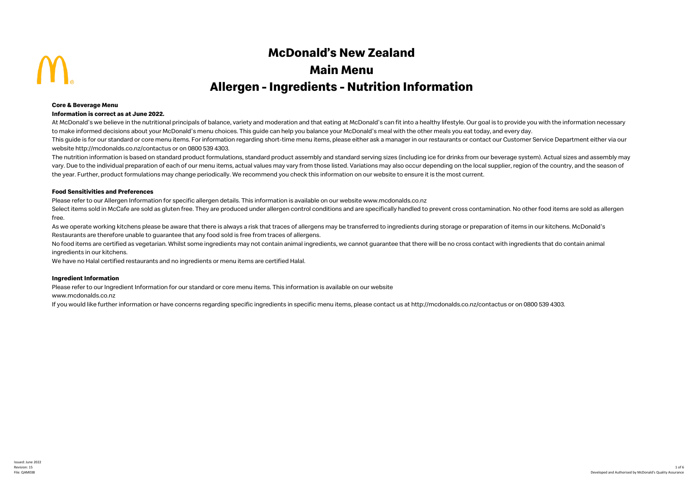# **McDonald's New Zealand Main Menu Allergen - Ingredients - Nutrition Information**

### **Core & Beverage Menu**

### **Information is correct as at June 2022.**

At McDonald's we believe in the nutritional principals of balance, variety and moderation and that eating at McDonald's can fit into a healthy lifestyle. Our goal is to provide you with the information necessary to make informed decisions about your McDonald's menu choices. This guide can help you balance your McDonald's meal with the other meals you eat today, and every day.

This quide is for our standard or core menu items. For information regarding short-time menu items, please either ask a manager in our restaurants or contact our Customer Service Department either via our website http://mcdonalds.co.nz/contactus or on 0800 539 4303.

The nutrition information is based on standard product formulations, standard product assembly and standard serving sizes (including ice for drinks from our beverage system). Actual sizes and assembly may vary. Due to the individual preparation of each of our menu items, actual values may vary from those listed. Variations may also occur depending on the local supplier, region of the country, and the season of the year. Further, product formulations may change periodically. We recommend you check this information on our website to ensure it is the most current.

# **Food Sensitivities and Preferences**

Please refer to our Allergen Information for specific allergen details. This information is available on our website www.mcdonalds.co.nz

Select items sold in McCafe are sold as gluten free. They are produced under allergen control conditions and are specifically handled to prevent cross contamination. No other food items are sold as allergen free.

As we operate working kitchens please be aware that there is always a risk that traces of allergens may be transferred to ingredients during storage or preparation of items in our kitchens. McDonald's Restaurants are therefore unable to guarantee that any food sold is free from traces of allergens.

No food items are certified as vegetarian. Whilst some ingredients may not contain animal ingredients, we cannot guarantee that there will be no cross contact with ingredients that do contain animal ingredients in our kitchens.

We have no Halal certified restaurants and no ingredients or menu items are certified Halal.

## **Ingredient Information**

Please refer to our Ingredient Information for our standard or core menu items. This information is available on our website

www.mcdonalds.co.nz

If you would like further information or have concerns regarding specific ingredients in specific menu items, please contact us at http://mcdonalds.co.nz/contactus or on 0800 539 4303.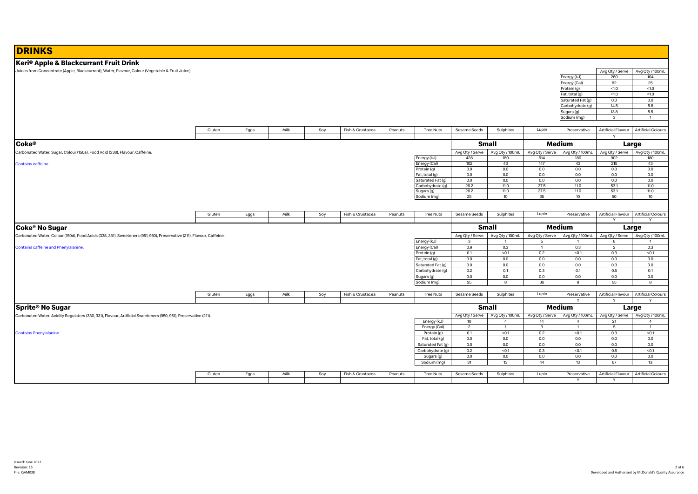| <b>DRINKS</b>                                                                                                        |        |      |      |     |                  |         |                                       |                 |                         |                 |                                 |                           |                                         |
|----------------------------------------------------------------------------------------------------------------------|--------|------|------|-----|------------------|---------|---------------------------------------|-----------------|-------------------------|-----------------|---------------------------------|---------------------------|-----------------------------------------|
| Keri® Apple & Blackcurrant Fruit Drink                                                                               |        |      |      |     |                  |         |                                       |                 |                         |                 |                                 |                           |                                         |
| Juices from Concentrate (Apple, Blackcurrant), Water, Flavour, Colour (Vegetable & Fruit Juice).                     |        |      |      |     |                  |         |                                       |                 |                         |                 |                                 | Avg Qty / Serve           | Avg Qty / 100mL                         |
|                                                                                                                      |        |      |      |     |                  |         |                                       |                 |                         |                 | Energy (kJ)                     | 260                       | 104                                     |
|                                                                                                                      |        |      |      |     |                  |         |                                       |                 |                         |                 | Energy (Cal)                    | 62                        | 25                                      |
|                                                                                                                      |        |      |      |     |                  |         |                                       |                 |                         |                 | Protein (g)                     | $<1.0$                    | $<1.0$                                  |
|                                                                                                                      |        |      |      |     |                  |         |                                       |                 |                         |                 | Fat, total (g)                  | <1.0                      | <1.0                                    |
|                                                                                                                      |        |      |      |     |                  |         |                                       |                 |                         |                 | Saturated Fat (g)               | 0.0                       | 0.0                                     |
|                                                                                                                      |        |      |      |     |                  |         |                                       |                 |                         |                 | Carbohydrate (g)                | 14.5                      | 5.8                                     |
|                                                                                                                      |        |      |      |     |                  |         |                                       |                 |                         |                 | Sugars (g)                      | 13.8<br>$\mathbf{3}$      | 5.5<br>$\overline{1}$                   |
|                                                                                                                      |        |      |      |     |                  |         |                                       |                 |                         |                 | Sodium (mg)                     |                           |                                         |
|                                                                                                                      | Gluten | Eggs | Milk | Soy | Fish & Crustacea | Peanuts | <b>Tree Nuts</b>                      | Sesame Seeds    | Sulphites               | Lupin           | Preservative                    | <b>Artificial Flavour</b> | <b>Artificial Colours</b>               |
|                                                                                                                      |        |      |      |     |                  |         |                                       |                 |                         |                 |                                 | Y                         |                                         |
|                                                                                                                      |        |      |      |     |                  |         |                                       |                 |                         |                 |                                 |                           |                                         |
| <b>Coke®</b>                                                                                                         |        |      |      |     |                  |         |                                       |                 | <b>Small</b>            |                 | Medium                          |                           | Large                                   |
| Carbonated Water, Sugar, Colour (150a), Food Acid (338), Flavour, Caffeine.                                          |        |      |      |     |                  |         |                                       | Avg Qty / Serve | Avg Qty / 100mL         |                 | Avg Qty / Serve Avg Qty / 100mL |                           | Avg Qty / Serve Avg Qty / 100mL         |
|                                                                                                                      |        |      |      |     |                  |         | Energy (kJ)                           | 428             | 180                     | 614             | 180                             | 902                       | 180                                     |
| <b>Contains caffeine.</b>                                                                                            |        |      |      |     |                  |         | Energy (Cal)<br>Protein (g)           | 102<br>0.0      | 43<br>0.0               | 147<br>0.0      | 43<br>0.0                       | 215<br>0.0                | 43<br>0.0                               |
|                                                                                                                      |        |      |      |     |                  |         | Fat, total (g)                        | 0.0             | 0.0                     | 0.0             | 0.0                             | 0.0                       | 0.0                                     |
|                                                                                                                      |        |      |      |     |                  |         | Saturated Fat (g)                     | 0.0             | 0.0                     | 0.0             | 0.0                             | 0.0                       | 0.0                                     |
|                                                                                                                      |        |      |      |     |                  |         | Carbohydrate (g)                      | 26.2            | 11.0                    | 37.5            | 11.0                            | 53.1                      | 11.0                                    |
|                                                                                                                      |        |      |      |     |                  |         | Sugars (g)                            | 26.2            | 11.0                    | 37.5            | 11.0                            | 53.1                      | 11.0                                    |
|                                                                                                                      |        |      |      |     |                  |         | Sodium (mg)                           | 25              | 10                      | 35              | 10 <sup>10</sup>                | 50                        | 10 <sup>°</sup>                         |
|                                                                                                                      |        |      |      |     |                  |         |                                       |                 |                         |                 |                                 |                           |                                         |
|                                                                                                                      | Gluten | Eggs | Milk | Soy | Fish & Crustacea | Peanuts | <b>Tree Nuts</b>                      | Sesame Seeds    | Sulphites               | Lupin           | Preservative                    |                           | Artificial Flavour   Artificial Colours |
|                                                                                                                      |        |      |      |     |                  |         |                                       |                 |                         |                 |                                 |                           |                                         |
|                                                                                                                      |        |      |      |     |                  |         |                                       |                 |                         |                 |                                 |                           |                                         |
|                                                                                                                      |        |      |      |     |                  |         |                                       |                 |                         |                 |                                 | $\mathsf{v}$              | $\mathsf{v}$                            |
| Coke <sup>®</sup> No Sugar                                                                                           |        |      |      |     |                  |         |                                       |                 | <b>Small</b>            |                 | Medium                          |                           | Large                                   |
| Carbonated Water, Colour (150d), Food Acids (338, 331), Sweeteners (951, 950), Preservative (211), Flavour, Caffeine |        |      |      |     |                  |         |                                       | Avg Qty / Serve | Avg Qty / 100mL         | Avg Qty / Serve | Avg Qty / 100mL                 | Avg Qty / Serve           | Avg Qty / 100mL                         |
|                                                                                                                      |        |      |      |     |                  |         | Energy (kJ)                           | 3               | $\mathbf{1}$            | 5               | $\overline{1}$                  | 8                         | $\overline{1}$                          |
| Contains caffeine and Phenylalanine.                                                                                 |        |      |      |     |                  |         | Energy (Cal)                          | 0.9             | 0.3                     | $\overline{1}$  | 0.3                             | $\overline{c}$            | 0.3                                     |
|                                                                                                                      |        |      |      |     |                  |         | Protein (g)                           | 0.1             | < 0.1                   | 0.2             | < 0.1                           | 0.3                       | $0.1$                                   |
|                                                                                                                      |        |      |      |     |                  |         | Fat, total (g)                        | 0.0             | 0.0                     | 0.0             | 0.0                             | 0.0                       | 0.0                                     |
|                                                                                                                      |        |      |      |     |                  |         | Saturated Fat (g)<br>Carbohydrate (g) | 0.0<br>0.2      | 0.0<br>0.1              | 0.0<br>0.3      | 0.0<br>0.1                      | 0.0<br>0.5                | 0.0<br>0.1                              |
|                                                                                                                      |        |      |      |     |                  |         | Sugars (g)                            | 0.0             | 0.0                     | 0.0             | 0.0                             | 0.0                       | 0.0                                     |
|                                                                                                                      |        |      |      |     |                  |         | Sodium (mg)                           | 25              | 8                       | 36              | 8                               | 55                        | 8                                       |
|                                                                                                                      |        |      |      |     |                  |         |                                       |                 |                         |                 |                                 |                           |                                         |
|                                                                                                                      | Gluten | Eggs | Milk | Soy | Fish & Crustacea | Peanuts | <b>Tree Nuts</b>                      | Sesame Seeds    | Sulphites               | Lupin           | Preservative                    |                           | Artificial Flavour Artificial Colours   |
|                                                                                                                      |        |      |      |     |                  |         |                                       |                 |                         |                 | Y                               | Y                         | Y                                       |
| <b>Sprite<sup>®</sup> No Sugar</b>                                                                                   |        |      |      |     |                  |         |                                       |                 | Small                   |                 | Medium                          |                           | Large                                   |
| Carbonated Water, Acidity Regulators (330, 331), Flavour, Artificial Sweeteners (950, 951), Preservative (211).      |        |      |      |     |                  |         |                                       | Avg Qty / Serve | Avg Qty / 100mL         |                 | Avg Qty / Serve Avg Qty / 100mL |                           | Avg Qty / Serve Avg Qty / 100mL         |
|                                                                                                                      |        |      |      |     |                  |         | Energy (kJ)                           | 10              | $\overline{\mathbf{4}}$ | 14              | $\overline{4}$                  | 21                        | $\overline{4}$                          |
|                                                                                                                      |        |      |      |     |                  |         | Energy (Cal)                          | $\overline{2}$  | $\overline{1}$          | $\mathbf{3}$    | $\overline{1}$                  | 5                         | $\overline{1}$                          |
| <b>Contains Phenylalanine</b>                                                                                        |        |      |      |     |                  |         | Protein (g)                           | 0.1             | < 0.1                   | 0.2             | < 0.1                           | 0.3                       | < 0.1                                   |
|                                                                                                                      |        |      |      |     |                  |         | Fat, total (g)                        | 0.0             | 0.0                     | 0.0             | 0.0                             | 0.0                       | 0.0                                     |
|                                                                                                                      |        |      |      |     |                  |         | Saturated Fat (g)                     | 0.0             | 0.0                     | 0.0             | 0.0                             | 0.0                       | 0.0                                     |
|                                                                                                                      |        |      |      |     |                  |         | Carbohydrate (g)                      | 0.2             | < 0.1                   | 0.3             | < 0.1                           | 0.5                       | < 0.1                                   |
|                                                                                                                      |        |      |      |     |                  |         | Sugars (g)                            | 0.0             | 0.0                     | 0.0             | 0.0                             | 0.0                       | 0.0                                     |
|                                                                                                                      |        |      |      |     |                  |         | Sodium (mg)                           | 31              | 13                      | 44              | 13                              | 67                        | 13                                      |
|                                                                                                                      | Gluten | Eggs | Milk | Soy | Fish & Crustacea | Peanuts | <b>Tree Nuts</b>                      | Sesame Seeds    | Sulphites               | Lupin           | Preservative                    |                           | Artificial Flavour Artificial Colours   |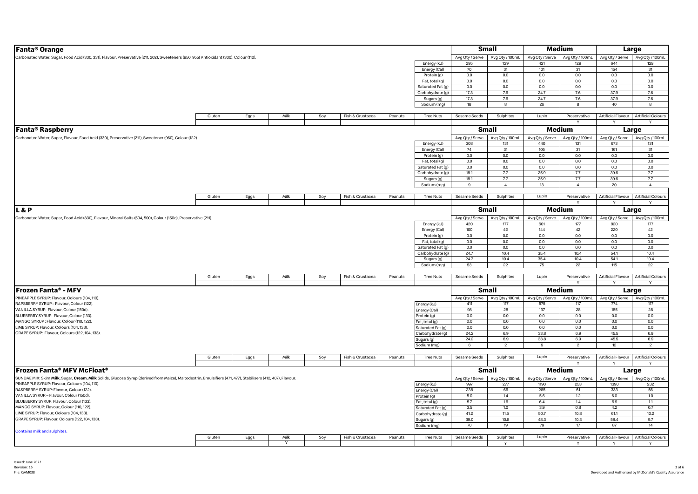| Fanta <sup>®</sup> Orange                                                                                                                                    |        |      |      |     |                  |         |                   |                 | <b>Small</b>    |                                                                       | Medium                          |                 | Large                                 |
|--------------------------------------------------------------------------------------------------------------------------------------------------------------|--------|------|------|-----|------------------|---------|-------------------|-----------------|-----------------|-----------------------------------------------------------------------|---------------------------------|-----------------|---------------------------------------|
| Carbonated Water, Sugar, Food Acid (330, 331), Flavour, Preservative (211, 202), Sweeteners (950, 955) Antioxidant (300), Colour (110).                      |        |      |      |     |                  |         |                   |                 |                 | Avg Qty / Serve   Avg Qty / 100mL   Avg Qty / Serve   Avg Qty / 100mL |                                 |                 | Avg Qty / Serve Avg Qty / 100mL       |
|                                                                                                                                                              |        |      |      |     |                  |         | Energy (kJ)       | 295             | 129             | 421                                                                   | 129                             | 644             | 129                                   |
|                                                                                                                                                              |        |      |      |     |                  |         | Energy (Cal)      | 70              | 31              | 101                                                                   | 31                              | 154             | 31                                    |
|                                                                                                                                                              |        |      |      |     |                  |         | Protein (g)       | 0.0             | $0.0\,$         | 0.0                                                                   | 0.0                             | 0.0             | 0.0                                   |
|                                                                                                                                                              |        |      |      |     |                  |         | Fat, total (g)    | 0.0             | 0.0             | 0.0                                                                   | 0.0                             | 0.0             | 0.0                                   |
|                                                                                                                                                              |        |      |      |     |                  |         | Saturated Fat (g) | 0.0             | 0.0             | 0.0                                                                   | 0.0                             | 0.0             | 0.0                                   |
|                                                                                                                                                              |        |      |      |     |                  |         | Carbohydrate (g)  | 17.3            | 7.6             | 24.7                                                                  | 7.6                             | 37.9            | 7.6                                   |
|                                                                                                                                                              |        |      |      |     |                  |         | Sugars (g)        | 17.3            | 7.6             | 24.7                                                                  | 7.6                             | 37.9            | 7.6                                   |
|                                                                                                                                                              |        |      |      |     |                  |         | Sodium (mg)       | 18              | $\mathbf{g}$    | 26                                                                    | 8                               | 40              | 8                                     |
|                                                                                                                                                              |        |      |      |     |                  |         |                   |                 |                 |                                                                       |                                 |                 |                                       |
|                                                                                                                                                              | Gluten | Eggs | Milk | Soy | Fish & Crustacea | Peanuts | <b>Tree Nuts</b>  | Sesame Seeds    | Sulphites       | Lupin                                                                 | Preservative                    |                 | Artificial Flavour Artificial Colours |
|                                                                                                                                                              |        |      |      |     |                  |         |                   |                 |                 |                                                                       |                                 |                 |                                       |
| <b>Fanta® Raspberry</b>                                                                                                                                      |        |      |      |     |                  |         |                   |                 | <b>Small</b>    |                                                                       | Medium                          |                 | Large                                 |
| Carbonated Water, Sugar, Flavour, Food Acid (330), Preservative (211), Sweetener (960), Colour (122).                                                        |        |      |      |     |                  |         |                   | Avg Qty / Serve | Avg Qty / 100mL | Avg Qty / Serve                                                       | Avg Qty / 100mL                 | Avg Qty / Serve | Avg Qty / 100mL                       |
|                                                                                                                                                              |        |      |      |     |                  |         | Energy (kJ)       | 308             | 131             | 440                                                                   | 131                             | 673             | 131                                   |
|                                                                                                                                                              |        |      |      |     |                  |         | Energy (Cal)      | 74              | 31              | 105                                                                   | 31                              | 161             | 31                                    |
|                                                                                                                                                              |        |      |      |     |                  |         | Protein (g)       | 0.0             | 0.0             | 0.0                                                                   | 0.0                             | 0.0             | 0.0                                   |
|                                                                                                                                                              |        |      |      |     |                  |         | Fat, total (g)    | 0.0             | 0.0             | 0.0                                                                   | 0.0                             | 0.0             | 0.0                                   |
|                                                                                                                                                              |        |      |      |     |                  |         | Saturated Fat (g) | 0.0             | $0.0\,$         | 0.0                                                                   | 0.0                             | 0.0             | 0.0                                   |
|                                                                                                                                                              |        |      |      |     |                  |         | Carbohydrate (g)  | 18.1            | 7.7             | 25.9                                                                  | 7.7                             | 39.6            | 7.7                                   |
|                                                                                                                                                              |        |      |      |     |                  |         | Sugars (g)        | 18.1            | 7.7             | 25.9                                                                  | 7.7                             | 39.6            | 7.7                                   |
|                                                                                                                                                              |        |      |      |     |                  |         | Sodium (mg)       | 9               | $\overline{4}$  | 13                                                                    | $\overline{4}$                  | 20              | $\overline{4}$                        |
|                                                                                                                                                              |        |      |      |     |                  |         |                   |                 |                 |                                                                       |                                 |                 |                                       |
|                                                                                                                                                              | Gluten | Eggs | Milk | Soy | Fish & Crustacea | Peanuts | <b>Tree Nuts</b>  | Sesame Seeds    | Sulphites       | Lupin                                                                 | Preservative                    |                 | Artificial Flavour Artificial Colours |
|                                                                                                                                                              |        |      |      |     |                  |         |                   |                 |                 |                                                                       |                                 |                 |                                       |
| L & P                                                                                                                                                        |        |      |      |     |                  |         |                   |                 | <b>Small</b>    |                                                                       | Medium                          |                 | Large                                 |
| Carbonated Water, Sugar, Food Acid (330), Flavour, Mineral Salts (504, 500), Colour (150d), Preservative (211).                                              |        |      |      |     |                  |         |                   | Avg Qty / Serve | Avg Qty / 100mL |                                                                       | Avg Qty / Serve Avg Qty / 100mL | Avg Qty / Serve | Avg Qty / 100mL                       |
|                                                                                                                                                              |        |      |      |     |                  |         | Energy (kJ)       | 420             | 177             | 601                                                                   | 177                             | 920             | 177                                   |
|                                                                                                                                                              |        |      |      |     |                  |         | Energy (Cal)      | 100             | 42              | 144                                                                   | 42                              | 220             | 42                                    |
|                                                                                                                                                              |        |      |      |     |                  |         | Protein (g)       | 0.0             | $0.0\,$         | 0.0                                                                   | $0.0\,$                         | 0.0             | 0.0                                   |
|                                                                                                                                                              |        |      |      |     |                  |         | Fat, total (g)    | 0.0             | 0.0             | 0.0                                                                   | 0.0                             | 0.0             | 0.0                                   |
|                                                                                                                                                              |        |      |      |     |                  |         | Saturated Fat (g) | 0.0             | 0.0             | 0.0                                                                   | 0.0                             | 0.0             | 0.0                                   |
|                                                                                                                                                              |        |      |      |     |                  |         | Carbohydrate (g)  | 24.7            | 10.4            | 35.4                                                                  | 10.4                            | 54.1            | 10.4                                  |
|                                                                                                                                                              |        |      |      |     |                  |         | Sugars (g)        | 24.7            | 10.4            | 35.4                                                                  | 10.4                            | 54.1            | 10.4                                  |
|                                                                                                                                                              |        |      |      |     |                  |         | Sodium (mg)       | 53              | 22              | 75                                                                    | 22                              | 115             | 22                                    |
|                                                                                                                                                              |        |      |      |     |                  |         |                   |                 |                 |                                                                       |                                 |                 |                                       |
|                                                                                                                                                              | Gluten | Eggs | Milk | Soy | Fish & Crustacea | Peanuts | <b>Tree Nuts</b>  | Sesame Seeds    | Sulphites       | Lupin                                                                 | Preservative                    |                 | Artificial Flavour Artificial Colours |
|                                                                                                                                                              |        |      |      |     |                  |         |                   |                 |                 |                                                                       |                                 |                 |                                       |
| <b>Frozen Fanta® - MFV</b>                                                                                                                                   |        |      |      |     |                  |         |                   |                 | Small           |                                                                       | Medium                          |                 | Large                                 |
| PINEAPPLE SYRUP: Flavour, Colours (104, 110).                                                                                                                |        |      |      |     |                  |         |                   | Avg Qty / Serve | Avg Qty / 100mL |                                                                       | Avg Qty / Serve Avg Qty / 100mL | Avg Qty / Serve | Avg Qty / 100mL                       |
| RAPSBERRY SYRUP: Flavour, Colour (122).                                                                                                                      |        |      |      |     |                  |         | Energy (kJ)       | 411             | 117             | 575                                                                   | 117                             | 774             | 117                                   |
| VANILLA SYRUP: Flavour, Colour (150d).                                                                                                                       |        |      |      |     |                  |         | Energy (Cal)      | 98              | 28              | 137                                                                   | 28                              | 185             | 28                                    |
| BLUEBERRY SYRUP: Flavour, Colour (133).                                                                                                                      |        |      |      |     |                  |         | Protein (g)       | 0.0             | 0.0             | 0.0                                                                   | 0.0                             | 0.0             | 0.0                                   |
| MANGO SYRUP: Flavour, Colour (110, 122).                                                                                                                     |        |      |      |     |                  |         | Fat, total (g)    | 0.0             | 0.0             | 0.0                                                                   | $0.0\,$                         | 0.0             | 0.0                                   |
| LIME SYRUP: Flavour, Colours (104, 133).                                                                                                                     |        |      |      |     |                  |         | Saturated Fat (q) | 0.0             | 0.0             | 0.0                                                                   | 0.0                             | 0.0             | 0.0                                   |
| GRAPE SYRUP: Flavour, Colours (122, 104, 133)                                                                                                                |        |      |      |     |                  |         | Carbohydrate (g)  | 24.2            | 6.9             | 33.8                                                                  | 6.9                             | 45.5            | 6.9                                   |
|                                                                                                                                                              |        |      |      |     |                  |         | Sugars (g)        | 24.2            | 6.9             | 33.8                                                                  | 6.9                             | 45.5            | 6.9                                   |
|                                                                                                                                                              |        |      |      |     |                  |         | Sodium (mg)       | 6               | $\overline{2}$  | 9                                                                     | $\overline{2}$                  | 12              | $\overline{2}$                        |
|                                                                                                                                                              |        |      |      |     |                  |         |                   |                 |                 |                                                                       |                                 |                 |                                       |
|                                                                                                                                                              | Gluten | Eggs | Milk | Soy | Fish & Crustacea | Peanuts | <b>Tree Nuts</b>  | Sesame Seeds    | Sulphites       | Lupin                                                                 | Preservative                    |                 | Artificial Flavour Artificial Colours |
|                                                                                                                                                              |        |      |      |     |                  |         |                   |                 |                 |                                                                       |                                 |                 |                                       |
| Frozen Fanta® MFV McFloat®                                                                                                                                   |        |      |      |     |                  |         |                   |                 | Small           |                                                                       | Medium                          |                 | Large                                 |
| SUNDAE MIX: Skim Milk, Sugar, Cream, Milk Solids, Glucose Syrup (derived from Maize), Maltodextrin, Emulsifiers (471, 477), Stabilisers (412, 407), Flavour. |        |      |      |     |                  |         |                   | Avg Qty / Serve | Avg Qty / 100mL |                                                                       | Avg Qty / Serve Avg Qty / 100mL | Avg Qty / Serve | Avg Qty / 100mL                       |
| PINEAPPLE SYRUP: Flavour, Colours (104, 110).                                                                                                                |        |      |      |     |                  |         | Energy (kJ)       | 997             | 277             | 1190                                                                  | 253                             | 1390            | 232                                   |
| RASPBERRY SYRUP: Flavour, Colour (122).                                                                                                                      |        |      |      |     |                  |         | Energy (Cal)      | 238             | 66              | 285                                                                   | 61                              | 333             | 56                                    |
| VANILLA SYRUP:- Flavour, Colour (150d).                                                                                                                      |        |      |      |     |                  |         | Protein (g)       | 5.0             | 1.4             | 5.6                                                                   | 1.2                             | 6.0             | 1.0                                   |
| BLUEBERRY SYRUP: Flavour, Colour (133).                                                                                                                      |        |      |      |     |                  |         | Fat, total (g)    | 5.7             | 1.6             | 6.4                                                                   | 1.4                             | 6.9             | 1.1                                   |
| MANGO SYRUP: Flavour, Colour (110, 122).                                                                                                                     |        |      |      |     |                  |         | Saturated Fat (g) | 3.5             | 1.0             | 3.9                                                                   | 0.8                             | 4.2             | 0.7                                   |
| LIME SYRUP: Flavour, Colours (104, 133).                                                                                                                     |        |      |      |     |                  |         | Carbohydrate (g)  | 41.2            | 11.5            | 50.7                                                                  | 10.8                            | 61.1            | 10.2                                  |
| GRAPE SYRUP: Flavour, Colours (122, 104, 133).                                                                                                               |        |      |      |     |                  |         | Sugars (g)        | 39.0            | 10.8            | 48.3                                                                  | 10.3                            | 58.4            | 9.7                                   |
|                                                                                                                                                              |        |      |      |     |                  |         | Sodium (mg)       | 70              | 19              | 79                                                                    | 17                              | 87              | 14                                    |
| Contains milk and sulphites.                                                                                                                                 |        |      |      |     |                  |         |                   |                 |                 |                                                                       |                                 |                 |                                       |
|                                                                                                                                                              | Gluten | Eggs | Milk | Soy | Fish & Crustacea | Peanuts | <b>Tree Nuts</b>  | Sesame Seeds    | Sulphites       | Lupin                                                                 | Preservative                    |                 | Artificial Flavour Artificial Colours |
|                                                                                                                                                              |        |      |      |     |                  |         |                   |                 |                 |                                                                       |                                 |                 |                                       |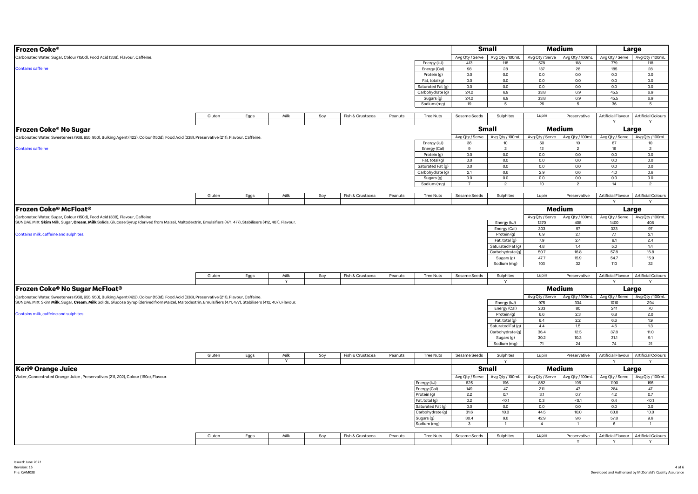| Frozen Coke®                                                                                                                                                 |        |      |                      |     |                  |         |                             |                        | <b>Small</b>                      |                 | Medium                                 |                        | Large                                    |
|--------------------------------------------------------------------------------------------------------------------------------------------------------------|--------|------|----------------------|-----|------------------|---------|-----------------------------|------------------------|-----------------------------------|-----------------|----------------------------------------|------------------------|------------------------------------------|
|                                                                                                                                                              |        |      |                      |     |                  |         |                             |                        |                                   |                 |                                        |                        | Avg Qty / 100mL                          |
| Carbonated Water, Sugar, Colour (150d), Food Acid (338), Flavour, Caffeine.                                                                                  |        |      |                      |     |                  |         | Energy (kJ)                 | 413                    | Avg Qty / Serve   Avg Qty / 100mL | 578             | Avg Qty / Serve Avg Qty / 100mL<br>118 | Avg Qty / Serve<br>779 | 118                                      |
| <b>Contains caffeine</b>                                                                                                                                     |        |      |                      |     |                  |         | Energy (Cal)                | 98                     | 118<br>28                         | 137             | 28                                     | 185                    | 28                                       |
|                                                                                                                                                              |        |      |                      |     |                  |         | Protein (g)                 | 0.0                    | 0.0                               | 0.0             | 0.0                                    | 0.0                    | 0.0                                      |
|                                                                                                                                                              |        |      |                      |     |                  |         | Fat, total (g)              | 0.0                    | 0.0                               | 0.0             | 0.0                                    | 0.0                    | $0.0\,$                                  |
|                                                                                                                                                              |        |      |                      |     |                  |         | Saturated Fat (g)           | 0.0                    | 0.0                               | 0.0             | 0.0                                    | 0.0                    | 0.0                                      |
|                                                                                                                                                              |        |      |                      |     |                  |         | Carbohydrate (g)            | 24.2                   | 6.9                               | 33.8            | 6.9                                    | 45.5                   | 6.9                                      |
|                                                                                                                                                              |        |      |                      |     |                  |         | Sugars (g)                  | 24.2                   | 6.9                               | 33.8            | 6.9                                    | 45.5                   | 6.9                                      |
|                                                                                                                                                              |        |      |                      |     |                  |         | Sodium (mg)                 | 19                     | 5                                 | 26              | $5\overline{5}$                        | 36                     | 5                                        |
|                                                                                                                                                              |        |      |                      |     |                  |         |                             |                        |                                   |                 |                                        |                        |                                          |
|                                                                                                                                                              | Gluten | Eggs | Milk                 | Soy | Fish & Crustacea | Peanuts | <b>Tree Nuts</b>            | Sesame Seeds           | Sulphites                         | Lupin           | Preservative                           |                        | Artificial Flavour Artificial Colours    |
|                                                                                                                                                              |        |      |                      |     |                  |         |                             |                        |                                   |                 |                                        | $\vee$                 | $\vee$                                   |
| Frozen Coke® No Sugar                                                                                                                                        |        |      |                      |     |                  |         |                             |                        | <b>Small</b>                      |                 | Medium                                 |                        | Large                                    |
|                                                                                                                                                              |        |      |                      |     |                  |         |                             |                        | Avg Qty / Serve   Avg Qty / 100mL |                 | Avg Qty / Serve   Avg Qty / 100mL      |                        | Avg Qty / Serve Avg Qty / 100mL          |
| Carbonated Water, Sweeteners (968, 955, 950), Bulking Agent (422), Colour (150d), Food Acid (338), Preservative (211), Flavour, Caffeine.                    |        |      |                      |     |                  |         | Energy (kJ)                 | 36                     | 10 <sub>10</sub>                  | 50              | 10                                     | 67                     | 10                                       |
| <b>Contains caffeine</b>                                                                                                                                     |        |      |                      |     |                  |         | Energy (Cal)                | 9                      | $\overline{c}$                    | 12              | $\overline{c}$                         | 16                     | $\overline{2}$                           |
|                                                                                                                                                              |        |      |                      |     |                  |         | Protein (g)                 | 0.0                    | 0.0                               | 0.0             | 0.0                                    | 0.0                    | 0.0                                      |
|                                                                                                                                                              |        |      |                      |     |                  |         | Fat, total (g)              | 0.0                    | 0.0                               | 0.0             | $0.0\,$                                | 0.0                    | 0.0                                      |
|                                                                                                                                                              |        |      |                      |     |                  |         | Saturated Fat (g)           | 0.0                    | 0.0                               | 0.0             | 0.0                                    | 0.0                    | 0.0                                      |
|                                                                                                                                                              |        |      |                      |     |                  |         | Carbohydrate (g)            | 2.1                    | 0.6                               | 2.9             | 0.6                                    | 4.0                    | 0.6                                      |
|                                                                                                                                                              |        |      |                      |     |                  |         | Sugars (g)                  | $0.0\,$                | 0.0                               | $0.0\,$         | $0.0\,$                                | 0.0                    | $0.0\,$                                  |
|                                                                                                                                                              |        |      |                      |     |                  |         | Sodium (mg)                 | $\overline{7}$         | $\overline{2}$                    | 10 <sup>°</sup> | $\overline{2}$                         | 14                     | $\overline{2}$                           |
|                                                                                                                                                              |        |      |                      |     |                  |         |                             |                        |                                   |                 |                                        |                        |                                          |
|                                                                                                                                                              | Gluten | Eggs | Milk                 | Soy | Fish & Crustacea | Peanuts | <b>Tree Nuts</b>            | Sesame Seeds           | Sulphites                         | Lupin           | Preservative                           |                        | Artificial Flavour Artificial Colours    |
|                                                                                                                                                              |        |      |                      |     |                  |         |                             |                        |                                   |                 |                                        | $\checkmark$           |                                          |
| Frozen Coke® McFloat®                                                                                                                                        |        |      |                      |     |                  |         |                             |                        |                                   |                 | Medium                                 |                        | Large                                    |
| Carbonated Water, Sugar, Colour (150d), Food Acid (338), Flavour, Caffeine                                                                                   |        |      |                      |     |                  |         |                             |                        |                                   |                 | Avg Qty / Serve Avg Qty / 100mL        | Avg Qty / Serve        | Avg Qty / 100mL                          |
| SUNDAE MIX: Skim Milk, Sugar, Cream, Milk Solids, Glucose Syrup (derived from Maize), Maltodextrin, Emulsifiers (471, 477), Stabilisers (412, 407), Flavour. |        |      |                      |     |                  |         |                             |                        | Energy (kJ)                       | 1270            | 408                                    | 1400                   | 408                                      |
|                                                                                                                                                              |        |      |                      |     |                  |         |                             |                        | Energy (Cal)                      | 303             | 97                                     | 333                    | 97                                       |
| Contains milk, caffeine and sulphites.                                                                                                                       |        |      |                      |     |                  |         |                             |                        | Protein (g)                       | 6.9             | 2.1                                    | 7.1                    | 2.1                                      |
|                                                                                                                                                              |        |      |                      |     |                  |         |                             |                        | Fat, total (g)                    | 7.9             | 2.4                                    | 8.1                    | 2.4                                      |
|                                                                                                                                                              |        |      |                      |     |                  |         |                             |                        | Saturated Fat (g)                 | 4.8             | 1.4                                    | 5.0                    | 1.4                                      |
|                                                                                                                                                              |        |      |                      |     |                  |         |                             |                        | Carbohydrate (g)                  | 50.7            | 16.8                                   | 57.8                   | 16.8                                     |
|                                                                                                                                                              |        |      |                      |     |                  |         |                             |                        | Sugars (g)                        | 47.7            | 15.9                                   | 54.7                   | 15.9                                     |
|                                                                                                                                                              |        |      |                      |     |                  |         |                             |                        | Sodium (mg)                       | 103             | 32                                     | 110                    | 32                                       |
|                                                                                                                                                              |        |      |                      |     |                  |         |                             |                        |                                   |                 |                                        |                        |                                          |
|                                                                                                                                                              | Gluten | Eggs | Milk<br>$\mathsf{v}$ | Soy | Fish & Crustacea | Peanuts | <b>Tree Nuts</b>            | Sesame Seeds           | Sulphites                         | Lupin           | Preservative                           |                        | Artificial Flavour   Artificial Colours  |
|                                                                                                                                                              |        |      |                      |     |                  |         |                             |                        | Y                                 |                 |                                        |                        |                                          |
| Frozen Coke® No Sugar McFloat®                                                                                                                               |        |      |                      |     |                  |         |                             |                        |                                   |                 | Medium                                 |                        | Large                                    |
| Carbonated Water, Sweeteners (968, 955, 950), Bulking Agent (422), Colour (150d), Food Acid (338), Preservative (211), Flavour, Caffeine.                    |        |      |                      |     |                  |         |                             |                        |                                   |                 | Avg Qty / Serve Avg Qty / 100mL        | Avg Qty / Serve        | Avg Qty / 100mL                          |
| SUNDAE MIX: Skim Milk, Sugar, Cream, Milk Solids, Glucose Syrup (derived from Maize), Maltodextrin, Emulsifiers (471, 477), Stabilisers (412, 407), Flavour. |        |      |                      |     |                  |         |                             |                        | Energy (kJ)                       | 975             | 334                                    | 1010                   | 294                                      |
|                                                                                                                                                              |        |      |                      |     |                  |         |                             |                        | Energy (Cal)                      | 233             | 80                                     | 241                    | 70                                       |
| Contains milk, caffeine and sulphites.                                                                                                                       |        |      |                      |     |                  |         |                             |                        | Protein (g)                       | 6.6             | 2.3                                    | 6.8                    | 2.0                                      |
|                                                                                                                                                              |        |      |                      |     |                  |         |                             |                        | Fat, total (g)                    | 6.4             | 2.2                                    | 6.6                    | 1.9                                      |
|                                                                                                                                                              |        |      |                      |     |                  |         |                             |                        | Saturated Fat (g)                 | $4.4\,$         | 1.5                                    | 4.6                    | 1.3                                      |
|                                                                                                                                                              |        |      |                      |     |                  |         |                             |                        | Carbohydrate (g)                  | 36.4            | 12.5                                   | 37.8                   | 11.0                                     |
|                                                                                                                                                              |        |      |                      |     |                  |         |                             |                        | Sugars (g)                        | 30.2            | 10.3                                   | 31.1                   | 9.1                                      |
|                                                                                                                                                              |        |      |                      |     |                  |         |                             |                        | Sodium (mg)                       | 71              | 24                                     | 74                     | 21                                       |
|                                                                                                                                                              | Gluten | Eggs | Milk                 | Soy | Fish & Crustacea | Peanuts | <b>Tree Nuts</b>            | Sesame Seeds           | Sulphites                         | Lupin           | Preservative                           |                        | Artificial Flavour Artificial Colours    |
|                                                                                                                                                              |        |      | $\mathsf{v}$         |     |                  |         |                             |                        |                                   |                 |                                        |                        |                                          |
| <b>Keri<sup>®</sup> Orange Juice</b>                                                                                                                         |        |      |                      |     |                  |         |                             |                        | <b>Small</b>                      |                 | Medium                                 |                        | Large                                    |
|                                                                                                                                                              |        |      |                      |     |                  |         |                             |                        |                                   |                 |                                        |                        |                                          |
| Water, Concentrated Orange Juice, Preservatives (211, 202), Colour (160a), Flavour.                                                                          |        |      |                      |     |                  |         |                             | Avg Qty / Serve<br>625 | Avg Qty / 100mL<br>196            | 882             | Avg Qty / Serve Avg Qty / 100mL<br>196 | 1190                   | Avg Qty / Serve   Avg Qty / 100mL<br>196 |
|                                                                                                                                                              |        |      |                      |     |                  |         | Energy (kJ)<br>Energy (Cal) | 149                    | 47                                | 211             | 47                                     | 284                    | 47                                       |
|                                                                                                                                                              |        |      |                      |     |                  |         | Protein (g)                 | 2.2                    | 0.7                               | 3.1             | 0.7                                    | $4.2\,$                | 0.7                                      |
|                                                                                                                                                              |        |      |                      |     |                  |         | Fat, total (g)              | 0.2                    | < 0.1                             | 0.3             | < 0.1                                  | 0.4                    | < 0.1                                    |
|                                                                                                                                                              |        |      |                      |     |                  |         | Saturated Fat (g)           | 0.0                    | 0.0                               | 0.0             | 0.0                                    | 0.0                    | 0.0                                      |
|                                                                                                                                                              |        |      |                      |     |                  |         | Carbohydrate (g)            | 31.6                   | 10.0                              | 44.5            | 10.0                                   | 60.0                   | 10.0                                     |
|                                                                                                                                                              |        |      |                      |     |                  |         | Sugars (g)                  | 30.4                   | 9.6                               | 42.9            | 9.6                                    | 57.8                   | 9.6                                      |
|                                                                                                                                                              |        |      |                      |     |                  |         | Sodium (mg)                 | $\mathbf{3}$           | $\overline{1}$                    | $\overline{4}$  | $\overline{1}$                         | 6                      | $\overline{1}$                           |
|                                                                                                                                                              |        |      |                      |     |                  |         |                             |                        |                                   |                 |                                        |                        |                                          |
|                                                                                                                                                              | Gluten | Eggs | Milk                 | Soy | Fish & Crustacea | Peanuts | Tree Nuts                   | Sesame Seeds           | Sulphites                         | Lupin           | Preservative                           |                        | Artificial Flavour Artificial Colours    |
|                                                                                                                                                              |        |      |                      |     |                  |         |                             |                        |                                   |                 | Y                                      | Y                      | <b>V</b>                                 |
|                                                                                                                                                              |        |      |                      |     |                  |         |                             |                        |                                   |                 |                                        |                        |                                          |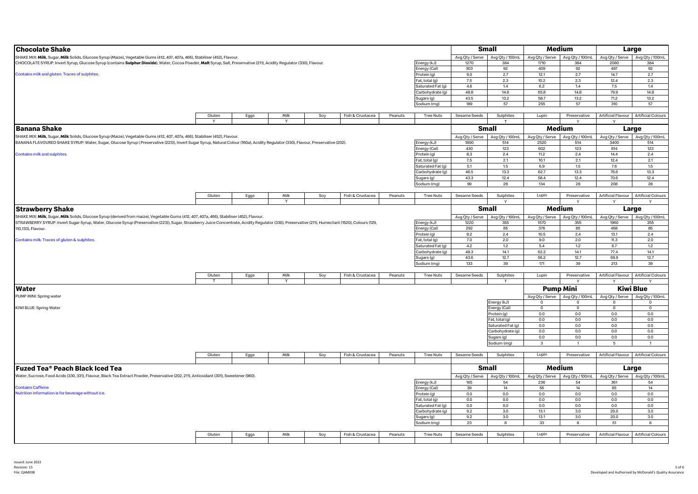| <b>Chocolate Shake</b>                                                                                                                                                                             |                  |      |          |      |                  |         |                   |                 | <b>Small</b>                    |                 | Medium                            |                 | Large                                 |
|----------------------------------------------------------------------------------------------------------------------------------------------------------------------------------------------------|------------------|------|----------|------|------------------|---------|-------------------|-----------------|---------------------------------|-----------------|-----------------------------------|-----------------|---------------------------------------|
| SHAKE MIX: Milk, Sugar, Milk Solids, Glucose Syrup (Maize), Vegetable Gums (412, 407, 407a, 466), Stabiliser (452), Flavour.                                                                       |                  |      |          |      |                  |         |                   |                 | Avg Qty / Serve Avg Qty / 100mL |                 | Avg Qty / Serve Avg Qty / 100mL   |                 | Avg Qty / Serve Avg Qty / 100mL       |
| CHOCOLATE SYRUP: Invert Syrup, Glucose Syrup (contains Sulphur Dioxide), Water, Cocoa Powder, Malt Syrup, Salt, Preservative (211), Acidity Regulator (330), Flavour.                              |                  |      |          |      |                  |         | Energy (kJ)       | 1270            | 384                             | 1710            | 384                               | 2080            | 384                                   |
|                                                                                                                                                                                                    |                  |      |          |      |                  |         | Energy (Cal)      | 303             | 92                              | 409             | 92                                | 497             | 92                                    |
| Contains milk and gluten. Traces of sulphites.                                                                                                                                                     |                  |      |          |      |                  |         | Protein (g)       | 9.0             | 2.7                             | 12.1            | 2.7                               | 14.7            | 2.7                                   |
|                                                                                                                                                                                                    |                  |      |          |      |                  |         | Fat, total (g)    | 7.5             | 2.3                             | 10.2            | 2.3                               | 12.4            | 2.3                                   |
|                                                                                                                                                                                                    |                  |      |          |      |                  |         | Saturated Fat (g) | 4.6             | 1.4                             | 6.2             | 1.4                               | $7.5\,$         | $1.4\,$                               |
|                                                                                                                                                                                                    | Carbohydrate (g) | 48.8 | 14.8     | 65.8 | 14.8             | 79.9    | 14.8              |                 |                                 |                 |                                   |                 |                                       |
|                                                                                                                                                                                                    |                  |      |          |      |                  |         | Sugars (g)        | 43.5            | 13.2                            | 58.7            | 13.2                              | 71.2            | 13.2                                  |
|                                                                                                                                                                                                    | Sodium (mg)      | 189  | 57       | 255  | 57               | 310     | 57                |                 |                                 |                 |                                   |                 |                                       |
|                                                                                                                                                                                                    |                  |      |          |      |                  |         |                   |                 |                                 |                 |                                   |                 |                                       |
|                                                                                                                                                                                                    | Gluten           | Eggs | Milk     | Soy  | Fish & Crustacea | Peanuts | <b>Tree Nuts</b>  | Sesame Seeds    | Sulphites                       | Lupin           | Preservative                      |                 | Artificial Flavour Artificial Colours |
|                                                                                                                                                                                                    | <b>V</b>         |      | <b>V</b> |      |                  |         |                   |                 |                                 |                 |                                   | $\vee$          |                                       |
| <b>Banana Shake</b>                                                                                                                                                                                |                  |      |          |      |                  |         |                   |                 | <b>Small</b>                    |                 | Medium                            |                 | Large                                 |
|                                                                                                                                                                                                    |                  |      |          |      |                  |         |                   |                 |                                 |                 |                                   |                 |                                       |
| SHAKE MIX: Milk, Sugar, Milk Solids, Glucose Syrup (Maize), Vegetable Gums (412, 407, 407a, 466), Stabiliser (452), Flavour.                                                                       |                  |      |          |      |                  |         |                   | Avg Qty / Serve | Avg Qty / 100mL                 | Avg Qty / Serve | Avg Qty / 100mL                   |                 | Avg Qty / Serve Avg Qty / 100mL       |
| BANANA FLAVOURED SHAKE SYRUP: Water, Sugar, Glucose Syrup (Preservative (223)), Invert Sugar Syrup, Natural Colour (160a), Acidity Regulator (330), Flavour, Preservative (202).                   |                  |      |          |      |                  |         | Energy (kJ)       | 1800            | 514                             | 2520            | 514                               | 3400            | 514                                   |
|                                                                                                                                                                                                    |                  |      |          |      |                  |         | Energy (Cal)      | 430             | 123                             | 602             | 123                               | 814             | 123                                   |
| Contains milk and sulphites.                                                                                                                                                                       |                  |      |          |      |                  |         | Protein (g)       | 8.3             | 2.4                             | 11.2            | 2.4                               | 14.4            | 2.4                                   |
|                                                                                                                                                                                                    |                  |      |          |      |                  |         | Fat, total (g)    | 7.5             | 2.1                             | 10.1            | 2.1                               | 12.4            | 2.1                                   |
|                                                                                                                                                                                                    |                  |      |          |      |                  |         | Saturated Fat (g) | 5.1             | 1.5                             | 6.9             | 1.5                               | 7.6             | 1.5                                   |
|                                                                                                                                                                                                    |                  |      |          |      |                  |         | Carbohydrate (g)  | 46.5            | 13.3                            | 62.7            | 13.3                              | 76.6            | 13.3                                  |
|                                                                                                                                                                                                    |                  |      |          |      |                  |         | Sugars (g)        | 43.3            | 12.4                            | 58.4            | 12.4                              | 70.6            | 12.4                                  |
|                                                                                                                                                                                                    |                  |      |          |      |                  |         | Sodium (mg)       | 99              | 28                              | 134             | 28                                | 208             | 28                                    |
|                                                                                                                                                                                                    |                  |      |          |      |                  |         |                   |                 |                                 |                 |                                   |                 |                                       |
|                                                                                                                                                                                                    | Gluten           | Eggs | Milk     | Soy  | Fish & Crustacea | Peanuts | <b>Tree Nuts</b>  | Sesame Seeds    | Sulphites                       | Lupin           | Preservative                      |                 | Artificial Flavour Artificial Colours |
|                                                                                                                                                                                                    |                  |      | <b>Y</b> |      |                  |         |                   |                 |                                 |                 |                                   |                 |                                       |
| <b>Strawberry Shake</b>                                                                                                                                                                            |                  |      |          |      |                  |         |                   |                 | <b>Small</b>                    |                 | Medium                            |                 | Large                                 |
| SHAKE MIX: Milk, Sugar, Milk Solids, Glucose Syrup (derived from maize), Vegetable Gums (412, 407, 407a, 466), Stabiliser (452), Flavour.                                                          |                  |      |          |      |                  |         |                   |                 |                                 |                 |                                   |                 |                                       |
|                                                                                                                                                                                                    |                  |      |          |      |                  |         |                   | Avg Qty / Serve | Avg Qty / 100mL                 | Avg Qty / Serve | Avg Qty / 100mL                   |                 | Avg Qty / Serve Avg Qty / 100mL       |
| STRAWBERRY SYRUP: Invert Sugar Syrup, Water, Glucose Syrup (Preservative (223)), Sugar, Strawberry Juice Concentrate, Acidity Regulator (330), Preservative (211), Humectant (1520), Colours (129, |                  |      |          |      |                  |         | Energy (kJ)       | 1220            | 355                             | 1570            | 355                               | 1960            | 355                                   |
| 110,133), Flavour.                                                                                                                                                                                 |                  |      |          |      |                  |         | Energy (Cal)      | 292             | 85                              | 376             | 85                                | 468             | 85                                    |
|                                                                                                                                                                                                    |                  |      |          |      |                  |         | Protein (g)       | 8.2             | 2.4                             | 10.5            | 2.4                               | 13.1            | 2.4                                   |
| Contains milk. Traces of gluten & sulphites.                                                                                                                                                       |                  |      |          |      |                  |         | Fat, total (g)    | 7.0             | 2.0                             | 9.0             | 2.0                               | 11.3            | 2.0                                   |
|                                                                                                                                                                                                    |                  |      |          |      |                  |         | Saturated Fat (g) | 4.2             | 1.2                             | 5.4             | 1.2                               | 6.7             | 1.2                                   |
|                                                                                                                                                                                                    |                  |      |          |      |                  |         | Carbohydrate (g)  | 48.3            | 14.1                            | 62.2            | 14.1                              | 77.4            | 14.1                                  |
|                                                                                                                                                                                                    |                  |      |          |      |                  |         | Sugars (g)        | 43.6            | 12.7                            | 56.2            | 12.7                              | 69.9            | 12.7                                  |
|                                                                                                                                                                                                    |                  |      |          |      |                  |         | Sodium (mg)       | 133             | 39                              | 171             | 39                                | 213             | 39                                    |
|                                                                                                                                                                                                    |                  |      |          |      |                  |         |                   |                 |                                 |                 |                                   |                 |                                       |
|                                                                                                                                                                                                    | Gluten           | Eggs | Milk     | Soy  | Fish & Crustacea | Peanuts | <b>Tree Nuts</b>  | Sesame Seeds    | Sulphites                       | Lupin           | Preservative                      |                 | Artificial Flavour Artificial Colours |
|                                                                                                                                                                                                    | $\tau$           |      | <b>V</b> |      |                  |         |                   |                 |                                 |                 |                                   |                 |                                       |
| <b>Water</b>                                                                                                                                                                                       |                  |      |          |      |                  |         |                   |                 |                                 |                 | <b>Pump Mini</b>                  |                 | Kiwi Blue                             |
| PUMP MINI: Spring water                                                                                                                                                                            |                  |      |          |      |                  |         |                   |                 |                                 |                 | Avg Qty / Serve   Avg Qty / 100mL |                 | Avg Qty / Serve   Avg Qty / 100mL     |
|                                                                                                                                                                                                    |                  |      |          |      |                  |         |                   |                 | Energy (kJ)                     | $\overline{0}$  | $\circ$                           | $\overline{0}$  | 0                                     |
| KIWI BLUE: Spring Water                                                                                                                                                                            |                  |      |          |      |                  |         |                   |                 | Energy (Cal)                    | $\Omega$        | $\circ$                           | $\circ$         | $\mathsf 0$                           |
|                                                                                                                                                                                                    |                  |      |          |      |                  |         |                   |                 | Protein (g)                     | 0.0             | 0.0                               | 0.0             | 0.0                                   |
|                                                                                                                                                                                                    |                  |      |          |      |                  |         |                   |                 | Fat, total (g)                  | 0.0             | 0.0                               | 0.0             | 0.0                                   |
|                                                                                                                                                                                                    |                  |      |          |      |                  |         |                   |                 | Saturated Fat (g)               | 0.0             | 0.0                               | 0.0             | 0.0                                   |
|                                                                                                                                                                                                    |                  |      |          |      |                  |         |                   |                 | Carbohydrate (g)                | 0.0             | 0.0                               | 0.0             | 0.0                                   |
|                                                                                                                                                                                                    |                  |      |          |      |                  |         |                   |                 | Sugars (g)                      | 0.0             | 0.0                               | 0.0             | 0.0                                   |
|                                                                                                                                                                                                    |                  |      |          |      |                  |         |                   |                 | Sodium (mg)                     | $\mathbf{3}$    | $\overline{1}$                    | 5               | $\overline{1}$                        |
|                                                                                                                                                                                                    |                  |      |          |      |                  |         |                   |                 |                                 |                 |                                   |                 |                                       |
|                                                                                                                                                                                                    | Gluten           | Eggs | Milk     | Soy  | Fish & Crustacea | Peanuts | <b>Tree Nuts</b>  | Sesame Seeds    | Sulphites                       | Lupin           | Preservative                      |                 | Artificial Flavour Artificial Colours |
|                                                                                                                                                                                                    |                  |      |          |      |                  |         |                   |                 |                                 |                 |                                   |                 |                                       |
| <b>Fuzed Tea® Peach Black Iced Tea</b>                                                                                                                                                             |                  |      |          |      |                  |         |                   |                 | <b>Small</b>                    |                 | Medium                            |                 | Large                                 |
|                                                                                                                                                                                                    |                  |      |          |      |                  |         |                   |                 |                                 |                 |                                   |                 |                                       |
| Water, Sucrose, Food Acids (330, 331), Flavour, Black Tea Extract Powder, Preservative (202, 211), Antioxidant (301), Sweetener (960).                                                             |                  |      |          |      |                  |         |                   | Avg Qty / Serve | Avg Qty / 100mL                 | Avg Qty / Serve | Avg Qty / 100mL                   | Avg Qty / Serve | Avg Qty / 100mL                       |
|                                                                                                                                                                                                    |                  |      |          |      |                  |         | Energy (kJ)       | 165             | 54                              | 236             | 54                                | 361             | 54                                    |
| <b>Contains Caffeine</b>                                                                                                                                                                           |                  |      |          |      |                  |         | Energy (Cal)      | 39              | 14                              | 56              | 14                                | 85              | 14                                    |
| Nutrition information is for beverage without ice.                                                                                                                                                 |                  |      |          |      |                  |         | Protein (g)       | 0.0             | 0.0                             | 0.0             | 0.0                               | 0.0             | 0.0                                   |
|                                                                                                                                                                                                    |                  |      |          |      |                  |         | Fat, total (g)    | 0.0             | 0.0                             | 0.0             | 0.0                               | 0.0             | 0.0                                   |
|                                                                                                                                                                                                    |                  |      |          |      |                  |         | Saturated Fat (g) | 0.0             | 0.0                             | 0.0             | 0.0                               | 0.0             | 0.0                                   |
|                                                                                                                                                                                                    |                  |      |          |      |                  |         | Carbohydrate (g)  | 9.2             | 3.0                             | 13.1            | 3.0                               | 20.0            | 3.0                                   |
|                                                                                                                                                                                                    |                  |      |          |      |                  |         | Sugars (g)        | 9.2             | $3.0\,$                         | 13.1            | 3.0                               | 20.0            | $3.0\,$                               |
|                                                                                                                                                                                                    |                  |      |          |      |                  |         | Sodium (mg)       | 23              | 8                               | 33              | 8                                 | 51              | 8                                     |
|                                                                                                                                                                                                    |                  |      |          |      |                  |         |                   |                 |                                 |                 |                                   |                 |                                       |
|                                                                                                                                                                                                    | Gluten           | Eggs | Milk     | Soy  | Fish & Crustacea | Peanuts | <b>Tree Nuts</b>  | Sesame Seeds    | Sulphites                       | Lupin           | Preservative                      |                 | Artificial Flavour Artificial Colours |
|                                                                                                                                                                                                    |                  |      |          |      |                  |         |                   |                 |                                 |                 |                                   |                 |                                       |